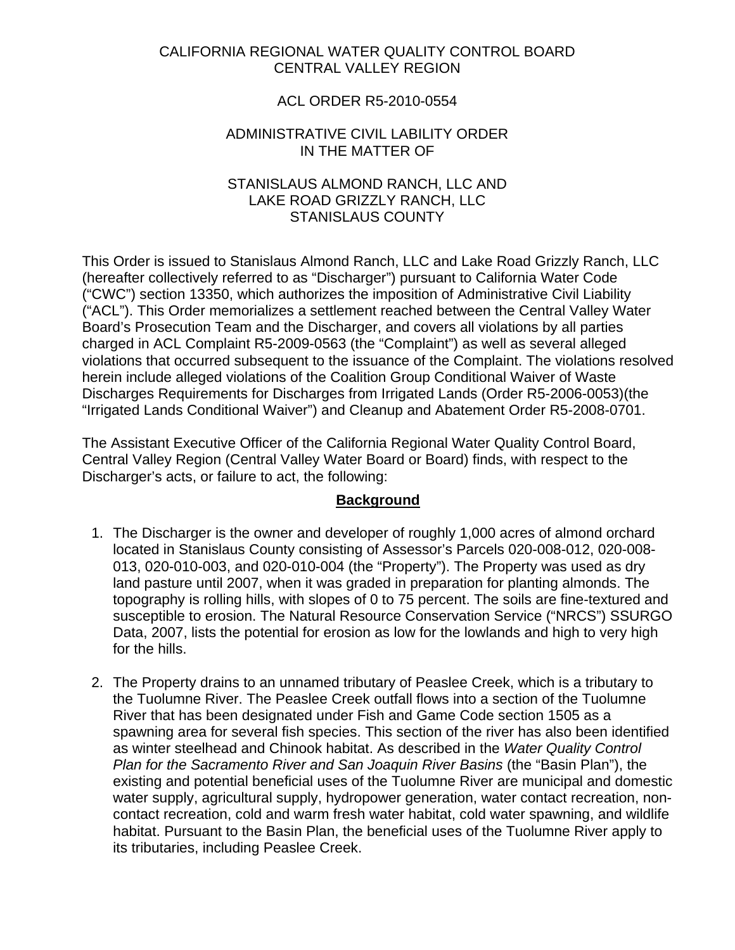## CALIFORNIA REGIONAL WATER QUALITY CONTROL BOARD CENTRAL VALLEY REGION

## ACL ORDER R5-2010-0554

### ADMINISTRATIVE CIVIL LABILITY ORDER IN THE MATTER OF

## STANISLAUS ALMOND RANCH, LLC AND LAKE ROAD GRIZZLY RANCH, LLC STANISLAUS COUNTY

This Order is issued to Stanislaus Almond Ranch, LLC and Lake Road Grizzly Ranch, LLC (hereafter collectively referred to as "Discharger") pursuant to California Water Code ("CWC") section 13350, which authorizes the imposition of Administrative Civil Liability ("ACL"). This Order memorializes a settlement reached between the Central Valley Water Board's Prosecution Team and the Discharger, and covers all violations by all parties charged in ACL Complaint R5-2009-0563 (the "Complaint") as well as several alleged violations that occurred subsequent to the issuance of the Complaint. The violations resolved herein include alleged violations of the Coalition Group Conditional Waiver of Waste Discharges Requirements for Discharges from Irrigated Lands (Order R5-2006-0053)(the "Irrigated Lands Conditional Waiver") and Cleanup and Abatement Order R5-2008-0701.

The Assistant Executive Officer of the California Regional Water Quality Control Board, Central Valley Region (Central Valley Water Board or Board) finds, with respect to the Discharger's acts, or failure to act, the following:

## **Background**

- 1. The Discharger is the owner and developer of roughly 1,000 acres of almond orchard located in Stanislaus County consisting of Assessor's Parcels 020-008-012, 020-008- 013, 020-010-003, and 020-010-004 (the "Property"). The Property was used as dry land pasture until 2007, when it was graded in preparation for planting almonds. The topography is rolling hills, with slopes of 0 to 75 percent. The soils are fine-textured and susceptible to erosion. The Natural Resource Conservation Service ("NRCS") SSURGO Data, 2007, lists the potential for erosion as low for the lowlands and high to very high for the hills.
- 2. The Property drains to an unnamed tributary of Peaslee Creek, which is a tributary to the Tuolumne River. The Peaslee Creek outfall flows into a section of the Tuolumne River that has been designated under Fish and Game Code section 1505 as a spawning area for several fish species. This section of the river has also been identified as winter steelhead and Chinook habitat. As described in the *Water Quality Control Plan for the Sacramento River and San Joaquin River Basins* (the "Basin Plan"), the existing and potential beneficial uses of the Tuolumne River are municipal and domestic water supply, agricultural supply, hydropower generation, water contact recreation, noncontact recreation, cold and warm fresh water habitat, cold water spawning, and wildlife habitat. Pursuant to the Basin Plan, the beneficial uses of the Tuolumne River apply to its tributaries, including Peaslee Creek.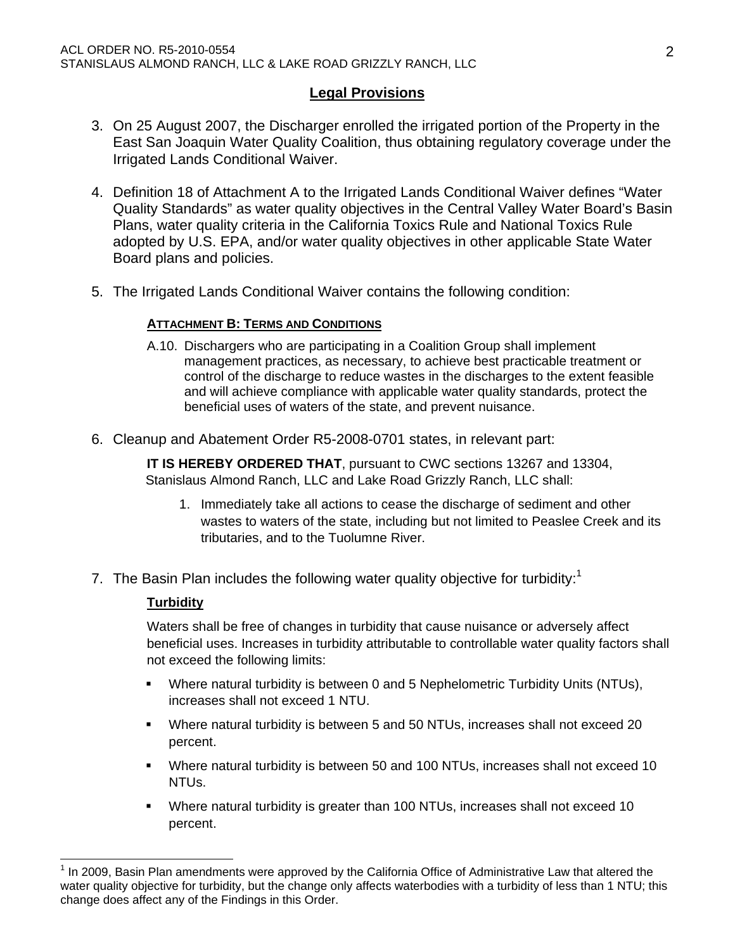## **Legal Provisions**

- 3. On 25 August 2007, the Discharger enrolled the irrigated portion of the Property in the East San Joaquin Water Quality Coalition, thus obtaining regulatory coverage under the Irrigated Lands Conditional Waiver.
- 4. Definition 18 of Attachment A to the Irrigated Lands Conditional Waiver defines "Water Quality Standards" as water quality objectives in the Central Valley Water Board's Basin Plans, water quality criteria in the California Toxics Rule and National Toxics Rule adopted by U.S. EPA, and/or water quality objectives in other applicable State Water Board plans and policies.
- 5. The Irrigated Lands Conditional Waiver contains the following condition:

### **ATTACHMENT B: TERMS AND CONDITIONS**

- A.10. Dischargers who are participating in a Coalition Group shall implement management practices, as necessary, to achieve best practicable treatment or control of the discharge to reduce wastes in the discharges to the extent feasible and will achieve compliance with applicable water quality standards, protect the beneficial uses of waters of the state, and prevent nuisance.
- 6. Cleanup and Abatement Order R5-2008-0701 states, in relevant part:

 **IT IS HEREBY ORDERED THAT**, pursuant to CWC sections 13267 and 13304, Stanislaus Almond Ranch, LLC and Lake Road Grizzly Ranch, LLC shall:

- 1. Immediately take all actions to cease the discharge of sediment and other wastes to waters of the state, including but not limited to Peaslee Creek and its tributaries, and to the Tuolumne River.
- 7. The Basin Plan includes the following water quality objective for turbidity:<sup>1</sup>

#### **Turbidity**

Waters shall be free of changes in turbidity that cause nuisance or adversely affect beneficial uses. Increases in turbidity attributable to controllable water quality factors shall not exceed the following limits:

- Where natural turbidity is between 0 and 5 Nephelometric Turbidity Units (NTUs), increases shall not exceed 1 NTU.
- Where natural turbidity is between 5 and 50 NTUs, increases shall not exceed 20 percent.
- Where natural turbidity is between 50 and 100 NTUs, increases shall not exceed 10 NTUs.
- Where natural turbidity is greater than 100 NTUs, increases shall not exceed 10 percent.

 $1$  In 2009, Basin Plan amendments were approved by the California Office of Administrative Law that altered the water quality objective for turbidity, but the change only affects waterbodies with a turbidity of less than 1 NTU; this change does affect any of the Findings in this Order.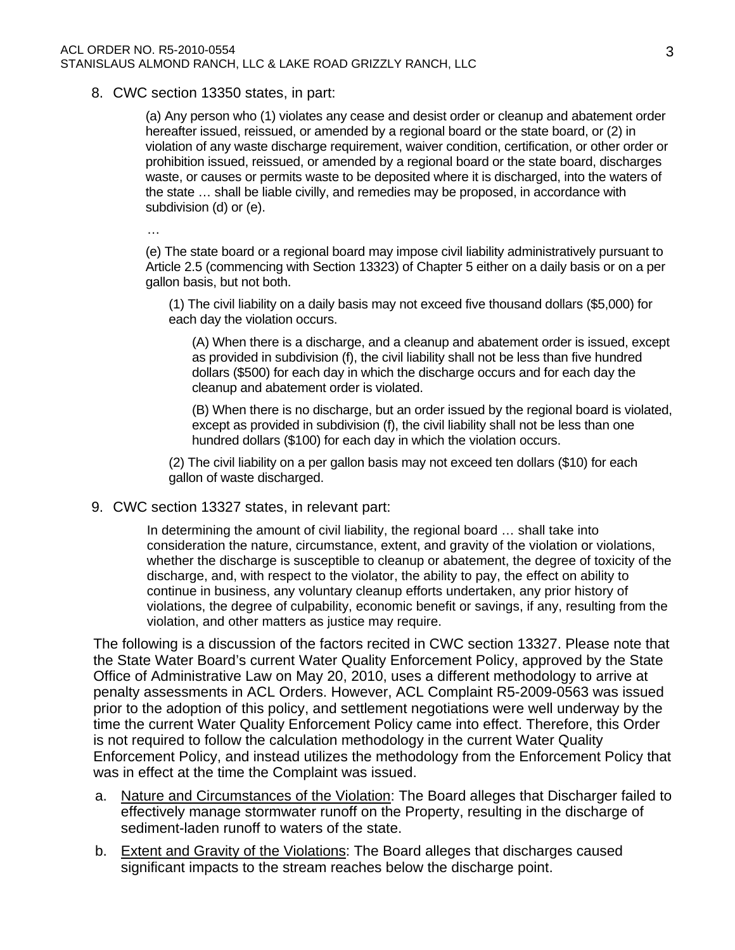#### 8. CWC section 13350 states, in part:

(a) Any person who (1) violates any cease and desist order or cleanup and abatement order hereafter issued, reissued, or amended by a regional board or the state board, or (2) in violation of any waste discharge requirement, waiver condition, certification, or other order or prohibition issued, reissued, or amended by a regional board or the state board, discharges waste, or causes or permits waste to be deposited where it is discharged, into the waters of the state … shall be liable civilly, and remedies may be proposed, in accordance with subdivision (d) or (e).

…

(e) The state board or a regional board may impose civil liability administratively pursuant to Article 2.5 (commencing with Section 13323) of Chapter 5 either on a daily basis or on a per gallon basis, but not both.

(1) The civil liability on a daily basis may not exceed five thousand dollars (\$5,000) for each day the violation occurs.

(A) When there is a discharge, and a cleanup and abatement order is issued, except as provided in subdivision (f), the civil liability shall not be less than five hundred dollars (\$500) for each day in which the discharge occurs and for each day the cleanup and abatement order is violated.

(B) When there is no discharge, but an order issued by the regional board is violated, except as provided in subdivision (f), the civil liability shall not be less than one hundred dollars (\$100) for each day in which the violation occurs.

(2) The civil liability on a per gallon basis may not exceed ten dollars (\$10) for each gallon of waste discharged.

#### 9. CWC section 13327 states, in relevant part:

In determining the amount of civil liability, the regional board … shall take into consideration the nature, circumstance, extent, and gravity of the violation or violations, whether the discharge is susceptible to cleanup or abatement, the degree of toxicity of the discharge, and, with respect to the violator, the ability to pay, the effect on ability to continue in business, any voluntary cleanup efforts undertaken, any prior history of violations, the degree of culpability, economic benefit or savings, if any, resulting from the violation, and other matters as justice may require.

The following is a discussion of the factors recited in CWC section 13327. Please note that the State Water Board's current Water Quality Enforcement Policy, approved by the State Office of Administrative Law on May 20, 2010, uses a different methodology to arrive at penalty assessments in ACL Orders. However, ACL Complaint R5-2009-0563 was issued prior to the adoption of this policy, and settlement negotiations were well underway by the time the current Water Quality Enforcement Policy came into effect. Therefore, this Order is not required to follow the calculation methodology in the current Water Quality Enforcement Policy, and instead utilizes the methodology from the Enforcement Policy that was in effect at the time the Complaint was issued.

- a. Nature and Circumstances of the Violation: The Board alleges that Discharger failed to effectively manage stormwater runoff on the Property, resulting in the discharge of sediment-laden runoff to waters of the state.
- b. Extent and Gravity of the Violations: The Board alleges that discharges caused significant impacts to the stream reaches below the discharge point.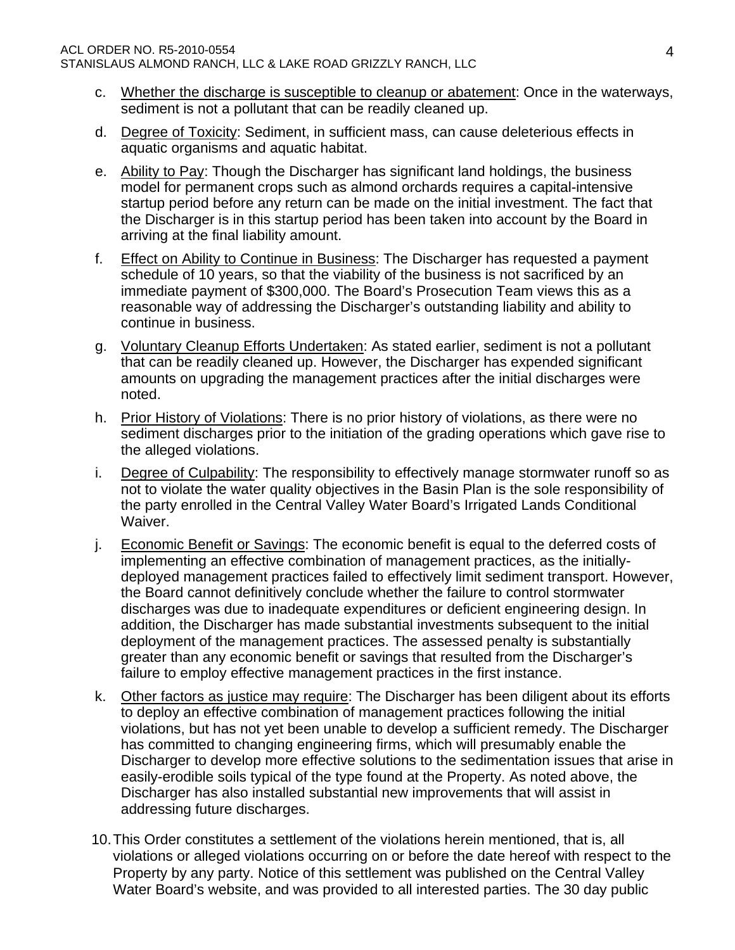- c. Whether the discharge is susceptible to cleanup or abatement: Once in the waterways, sediment is not a pollutant that can be readily cleaned up.
- d. Degree of Toxicity: Sediment, in sufficient mass, can cause deleterious effects in aquatic organisms and aquatic habitat.
- e. Ability to Pay: Though the Discharger has significant land holdings, the business model for permanent crops such as almond orchards requires a capital-intensive startup period before any return can be made on the initial investment. The fact that the Discharger is in this startup period has been taken into account by the Board in arriving at the final liability amount.
- f. Effect on Ability to Continue in Business: The Discharger has requested a payment schedule of 10 years, so that the viability of the business is not sacrificed by an immediate payment of \$300,000. The Board's Prosecution Team views this as a reasonable way of addressing the Discharger's outstanding liability and ability to continue in business.
- g. Voluntary Cleanup Efforts Undertaken: As stated earlier, sediment is not a pollutant that can be readily cleaned up. However, the Discharger has expended significant amounts on upgrading the management practices after the initial discharges were noted.
- h. Prior History of Violations: There is no prior history of violations, as there were no sediment discharges prior to the initiation of the grading operations which gave rise to the alleged violations.
- i. Degree of Culpability: The responsibility to effectively manage stormwater runoff so as not to violate the water quality objectives in the Basin Plan is the sole responsibility of the party enrolled in the Central Valley Water Board's Irrigated Lands Conditional Waiver.
- j. Economic Benefit or Savings: The economic benefit is equal to the deferred costs of implementing an effective combination of management practices, as the initiallydeployed management practices failed to effectively limit sediment transport. However, the Board cannot definitively conclude whether the failure to control stormwater discharges was due to inadequate expenditures or deficient engineering design. In addition, the Discharger has made substantial investments subsequent to the initial deployment of the management practices. The assessed penalty is substantially greater than any economic benefit or savings that resulted from the Discharger's failure to employ effective management practices in the first instance.
- k. Other factors as justice may require: The Discharger has been diligent about its efforts to deploy an effective combination of management practices following the initial violations, but has not yet been unable to develop a sufficient remedy. The Discharger has committed to changing engineering firms, which will presumably enable the Discharger to develop more effective solutions to the sedimentation issues that arise in easily-erodible soils typical of the type found at the Property. As noted above, the Discharger has also installed substantial new improvements that will assist in addressing future discharges.
- 10. This Order constitutes a settlement of the violations herein mentioned, that is, all violations or alleged violations occurring on or before the date hereof with respect to the Property by any party. Notice of this settlement was published on the Central Valley Water Board's website, and was provided to all interested parties. The 30 day public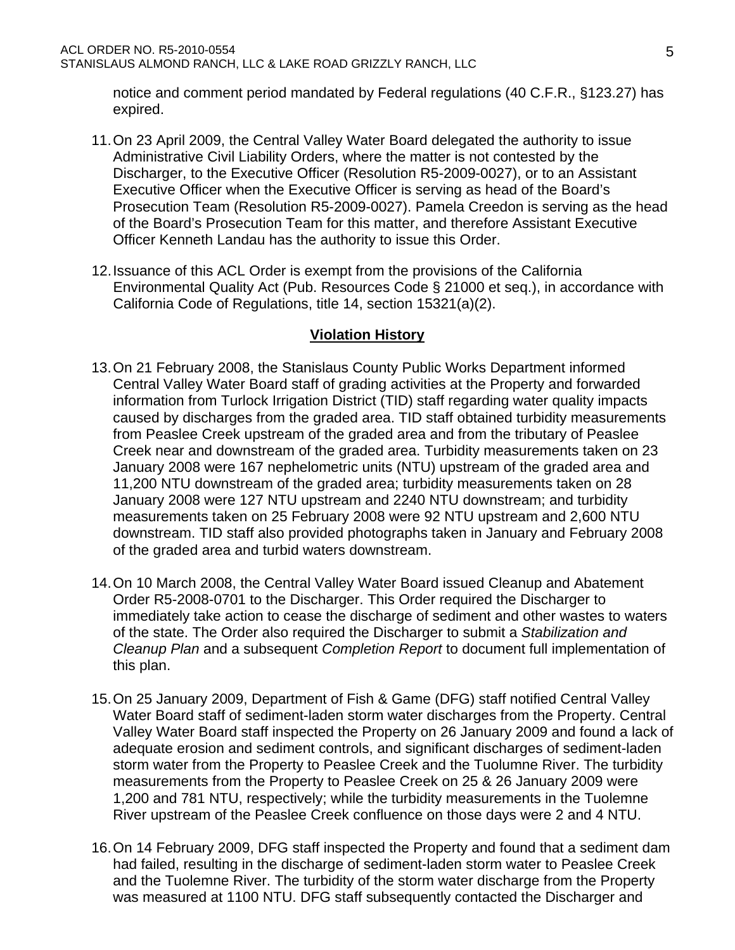notice and comment period mandated by Federal regulations (40 C.F.R., §123.27) has expired.

- 11. On 23 April 2009, the Central Valley Water Board delegated the authority to issue Administrative Civil Liability Orders, where the matter is not contested by the Discharger, to the Executive Officer (Resolution R5-2009-0027), or to an Assistant Executive Officer when the Executive Officer is serving as head of the Board's Prosecution Team (Resolution R5-2009-0027). Pamela Creedon is serving as the head of the Board's Prosecution Team for this matter, and therefore Assistant Executive Officer Kenneth Landau has the authority to issue this Order.
- 12. Issuance of this ACL Order is exempt from the provisions of the California Environmental Quality Act (Pub. Resources Code § 21000 et seq.), in accordance with California Code of Regulations, title 14, section 15321(a)(2).

## **Violation History**

- 13. On 21 February 2008, the Stanislaus County Public Works Department informed Central Valley Water Board staff of grading activities at the Property and forwarded information from Turlock Irrigation District (TID) staff regarding water quality impacts caused by discharges from the graded area. TID staff obtained turbidity measurements from Peaslee Creek upstream of the graded area and from the tributary of Peaslee Creek near and downstream of the graded area. Turbidity measurements taken on 23 January 2008 were 167 nephelometric units (NTU) upstream of the graded area and 11,200 NTU downstream of the graded area; turbidity measurements taken on 28 January 2008 were 127 NTU upstream and 2240 NTU downstream; and turbidity measurements taken on 25 February 2008 were 92 NTU upstream and 2,600 NTU downstream. TID staff also provided photographs taken in January and February 2008 of the graded area and turbid waters downstream.
- 14. On 10 March 2008, the Central Valley Water Board issued Cleanup and Abatement Order R5-2008-0701 to the Discharger. This Order required the Discharger to immediately take action to cease the discharge of sediment and other wastes to waters of the state. The Order also required the Discharger to submit a *Stabilization and Cleanup Plan* and a subsequent *Completion Report* to document full implementation of this plan.
- 15. On 25 January 2009, Department of Fish & Game (DFG) staff notified Central Valley Water Board staff of sediment-laden storm water discharges from the Property. Central Valley Water Board staff inspected the Property on 26 January 2009 and found a lack of adequate erosion and sediment controls, and significant discharges of sediment-laden storm water from the Property to Peaslee Creek and the Tuolumne River. The turbidity measurements from the Property to Peaslee Creek on 25 & 26 January 2009 were 1,200 and 781 NTU, respectively; while the turbidity measurements in the Tuolemne River upstream of the Peaslee Creek confluence on those days were 2 and 4 NTU.
- 16. On 14 February 2009, DFG staff inspected the Property and found that a sediment dam had failed, resulting in the discharge of sediment-laden storm water to Peaslee Creek and the Tuolemne River. The turbidity of the storm water discharge from the Property was measured at 1100 NTU. DFG staff subsequently contacted the Discharger and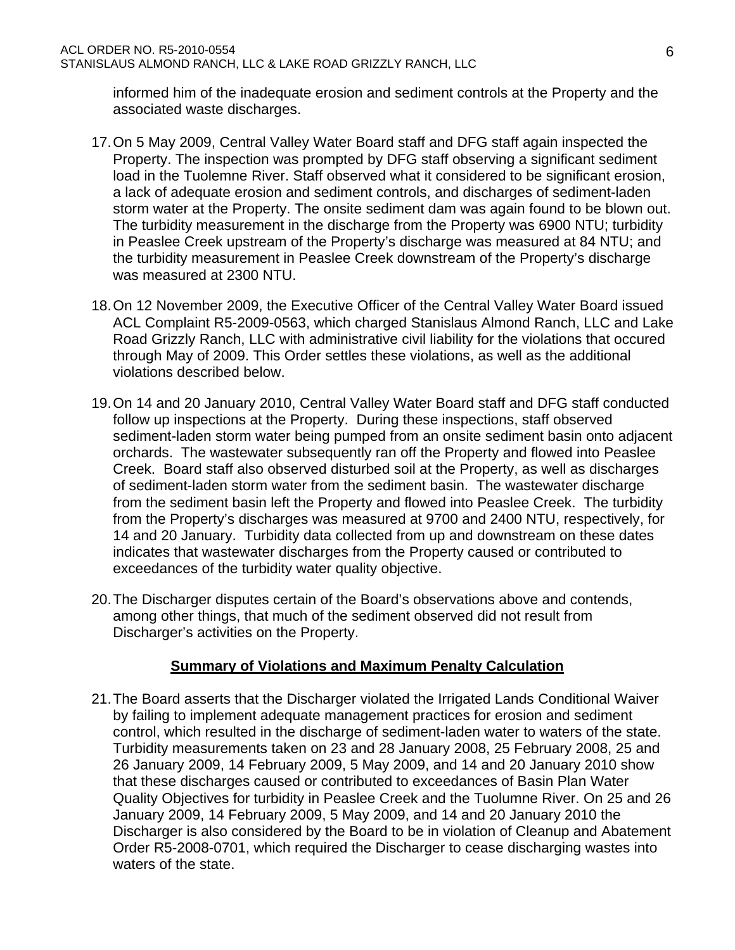informed him of the inadequate erosion and sediment controls at the Property and the associated waste discharges.

- 17. On 5 May 2009, Central Valley Water Board staff and DFG staff again inspected the Property. The inspection was prompted by DFG staff observing a significant sediment load in the Tuolemne River. Staff observed what it considered to be significant erosion, a lack of adequate erosion and sediment controls, and discharges of sediment-laden storm water at the Property. The onsite sediment dam was again found to be blown out. The turbidity measurement in the discharge from the Property was 6900 NTU; turbidity in Peaslee Creek upstream of the Property's discharge was measured at 84 NTU; and the turbidity measurement in Peaslee Creek downstream of the Property's discharge was measured at 2300 NTU.
- 18. On 12 November 2009, the Executive Officer of the Central Valley Water Board issued ACL Complaint R5-2009-0563, which charged Stanislaus Almond Ranch, LLC and Lake Road Grizzly Ranch, LLC with administrative civil liability for the violations that occured through May of 2009. This Order settles these violations, as well as the additional violations described below.
- 19. On 14 and 20 January 2010, Central Valley Water Board staff and DFG staff conducted follow up inspections at the Property. During these inspections, staff observed sediment-laden storm water being pumped from an onsite sediment basin onto adjacent orchards. The wastewater subsequently ran off the Property and flowed into Peaslee Creek. Board staff also observed disturbed soil at the Property, as well as discharges of sediment-laden storm water from the sediment basin. The wastewater discharge from the sediment basin left the Property and flowed into Peaslee Creek. The turbidity from the Property's discharges was measured at 9700 and 2400 NTU, respectively, for 14 and 20 January. Turbidity data collected from up and downstream on these dates indicates that wastewater discharges from the Property caused or contributed to exceedances of the turbidity water quality objective.
- 20. The Discharger disputes certain of the Board's observations above and contends, among other things, that much of the sediment observed did not result from Discharger's activities on the Property.

## **Summary of Violations and Maximum Penalty Calculation**

21. The Board asserts that the Discharger violated the Irrigated Lands Conditional Waiver by failing to implement adequate management practices for erosion and sediment control, which resulted in the discharge of sediment-laden water to waters of the state. Turbidity measurements taken on 23 and 28 January 2008, 25 February 2008, 25 and 26 January 2009, 14 February 2009, 5 May 2009, and 14 and 20 January 2010 show that these discharges caused or contributed to exceedances of Basin Plan Water Quality Objectives for turbidity in Peaslee Creek and the Tuolumne River. On 25 and 26 January 2009, 14 February 2009, 5 May 2009, and 14 and 20 January 2010 the Discharger is also considered by the Board to be in violation of Cleanup and Abatement Order R5-2008-0701, which required the Discharger to cease discharging wastes into waters of the state.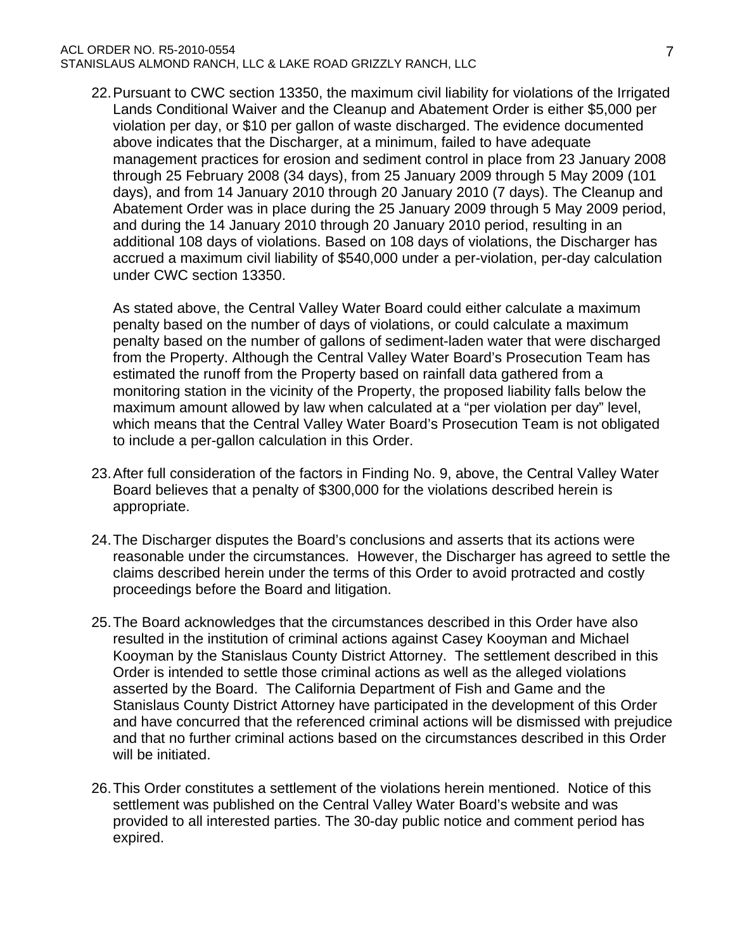#### ACL ORDER NO. R5-2010-0554 STANISLAUS ALMOND RANCH, LLC & LAKE ROAD GRIZZLY RANCH, LLC

22. Pursuant to CWC section 13350, the maximum civil liability for violations of the Irrigated Lands Conditional Waiver and the Cleanup and Abatement Order is either \$5,000 per violation per day, or \$10 per gallon of waste discharged. The evidence documented above indicates that the Discharger, at a minimum, failed to have adequate management practices for erosion and sediment control in place from 23 January 2008 through 25 February 2008 (34 days), from 25 January 2009 through 5 May 2009 (101 days), and from 14 January 2010 through 20 January 2010 (7 days). The Cleanup and Abatement Order was in place during the 25 January 2009 through 5 May 2009 period, and during the 14 January 2010 through 20 January 2010 period, resulting in an additional 108 days of violations. Based on 108 days of violations, the Discharger has accrued a maximum civil liability of \$540,000 under a per-violation, per-day calculation under CWC section 13350.

As stated above, the Central Valley Water Board could either calculate a maximum penalty based on the number of days of violations, or could calculate a maximum penalty based on the number of gallons of sediment-laden water that were discharged from the Property. Although the Central Valley Water Board's Prosecution Team has estimated the runoff from the Property based on rainfall data gathered from a monitoring station in the vicinity of the Property, the proposed liability falls below the maximum amount allowed by law when calculated at a "per violation per day" level, which means that the Central Valley Water Board's Prosecution Team is not obligated to include a per-gallon calculation in this Order.

- 23. After full consideration of the factors in Finding No. 9, above, the Central Valley Water Board believes that a penalty of \$300,000 for the violations described herein is appropriate.
- 24. The Discharger disputes the Board's conclusions and asserts that its actions were reasonable under the circumstances. However, the Discharger has agreed to settle the claims described herein under the terms of this Order to avoid protracted and costly proceedings before the Board and litigation.
- 25. The Board acknowledges that the circumstances described in this Order have also resulted in the institution of criminal actions against Casey Kooyman and Michael Kooyman by the Stanislaus County District Attorney. The settlement described in this Order is intended to settle those criminal actions as well as the alleged violations asserted by the Board. The California Department of Fish and Game and the Stanislaus County District Attorney have participated in the development of this Order and have concurred that the referenced criminal actions will be dismissed with prejudice and that no further criminal actions based on the circumstances described in this Order will be initiated.
- 26. This Order constitutes a settlement of the violations herein mentioned. Notice of this settlement was published on the Central Valley Water Board's website and was provided to all interested parties. The 30-day public notice and comment period has expired.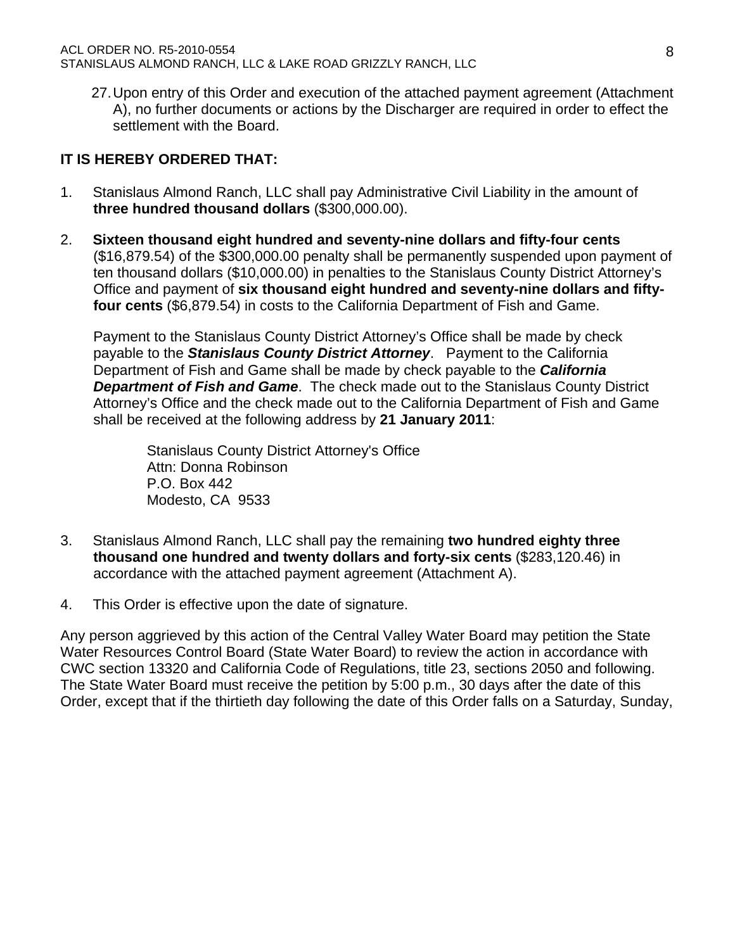27. Upon entry of this Order and execution of the attached payment agreement (Attachment A), no further documents or actions by the Discharger are required in order to effect the settlement with the Board.

## **IT IS HEREBY ORDERED THAT:**

- 1. Stanislaus Almond Ranch, LLC shall pay Administrative Civil Liability in the amount of **three hundred thousand dollars** (\$300,000.00).
- 2. **Sixteen thousand eight hundred and seventy-nine dollars and fifty-four cents** (\$16,879.54) of the \$300,000.00 penalty shall be permanently suspended upon payment of ten thousand dollars (\$10,000.00) in penalties to the Stanislaus County District Attorney's Office and payment of **six thousand eight hundred and seventy-nine dollars and fiftyfour cents** (\$6,879.54) in costs to the California Department of Fish and Game.

Payment to the Stanislaus County District Attorney's Office shall be made by check payable to the *Stanislaus County District Attorney*. Payment to the California Department of Fish and Game shall be made by check payable to the *California Department of Fish and Game*. The check made out to the Stanislaus County District Attorney's Office and the check made out to the California Department of Fish and Game shall be received at the following address by **21 January 2011**:

Stanislaus County District Attorney's Office Attn: Donna Robinson P.O. Box 442 Modesto, CA 9533

- 3. Stanislaus Almond Ranch, LLC shall pay the remaining **two hundred eighty three thousand one hundred and twenty dollars and forty-six cents** (\$283,120.46) in accordance with the attached payment agreement (Attachment A).
- 4. This Order is effective upon the date of signature.

Any person aggrieved by this action of the Central Valley Water Board may petition the State Water Resources Control Board (State Water Board) to review the action in accordance with CWC section 13320 and California Code of Regulations, title 23, sections 2050 and following. The State Water Board must receive the petition by 5:00 p.m., 30 days after the date of this Order, except that if the thirtieth day following the date of this Order falls on a Saturday, Sunday,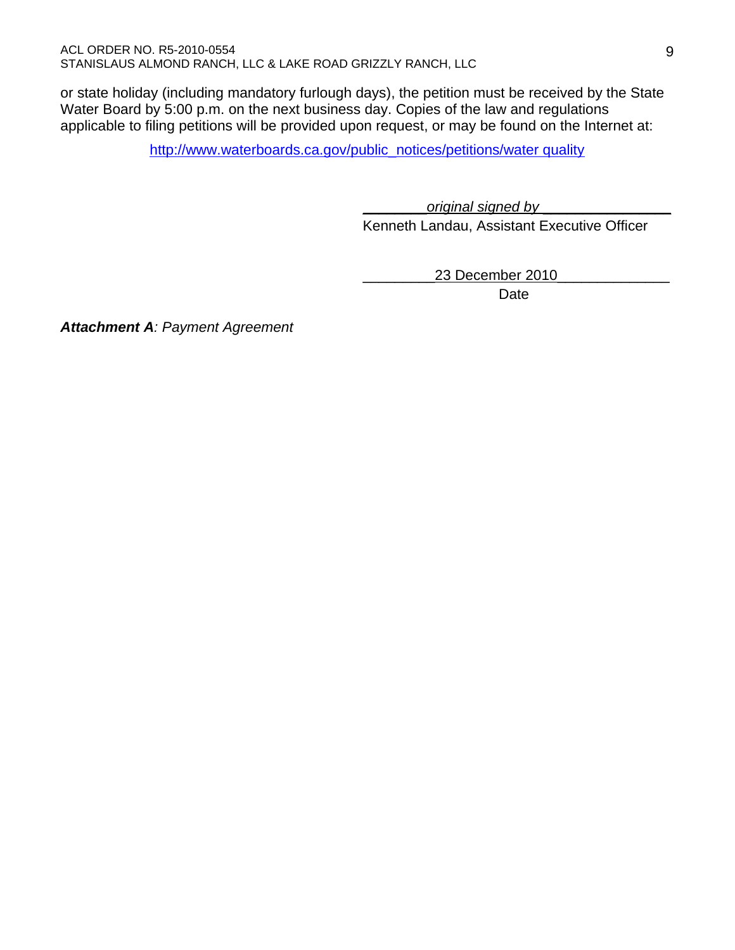or state holiday (including mandatory furlough days), the petition must be received by the State Water Board by 5:00 p.m. on the next business day. Copies of the law and regulations applicable to filing petitions will be provided upon request, or may be found on the Internet at:

http://www.waterboards.ca.gov/public\_notices/petitions/water quality

\_\_\_\_\_\_\_\_*original signed by* \_\_\_\_\_\_\_\_\_\_\_\_\_\_\_\_

Kenneth Landau, Assistant Executive Officer

\_\_\_\_\_\_\_\_\_23 December 2010\_\_\_\_\_\_\_\_\_\_\_\_\_\_

<u>Date</u> and the contract of the Date of the Date of the United States of the United States of the United States of the United States of the United States of the United States of the United States of the United States of the

*Attachment A: Payment Agreement*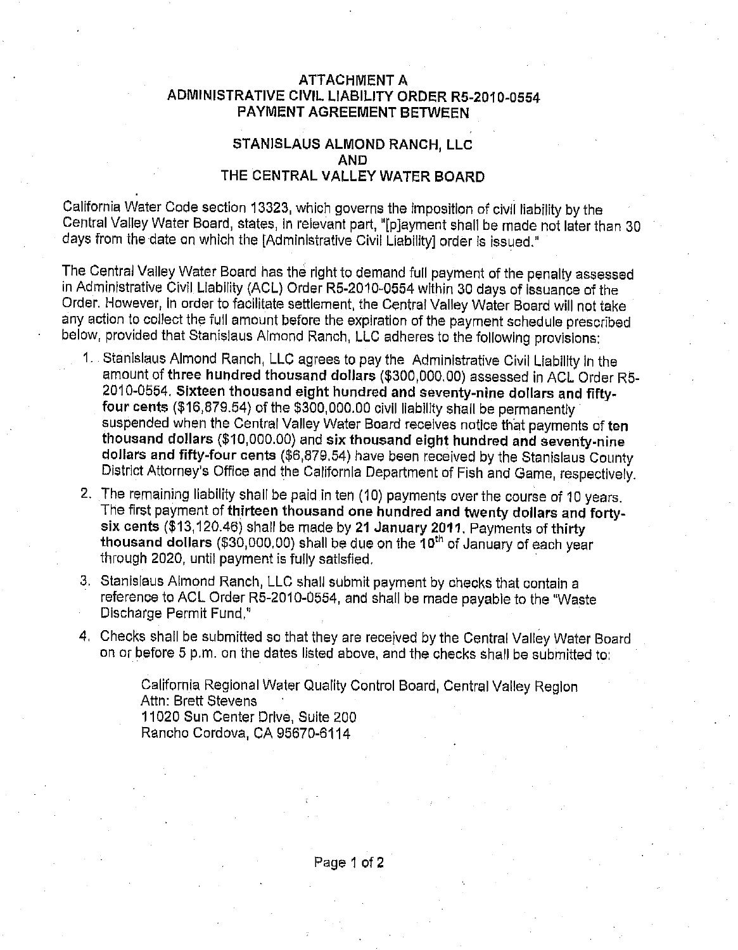#### **ATTACHMENT A** ADMINISTRATIVE CIVIL LIABILITY ORDER R5-2010-0554 **PAYMENT AGREEMENT BETWEEN**

### STANISLAUS ALMOND RANCH, LLC **AND** THE CENTRAL VALLEY WATER BOARD

California Water Code section 13323, which governs the imposition of civil liability by the Central Valley Water Board, states, in relevant part, "[p]ayment shall be made not later than 30 days from the date on which the [Administrative Civil Liability] order is issued."

The Central Valley Water Board has the right to demand full payment of the penalty assessed in Administrative Civil Liability (ACL) Order R5-2010-0554 within 30 days of issuance of the Order. However, in order to facilitate settlement, the Central Valley Water Board will not take any action to collect the full amount before the expiration of the payment schedule prescribed below, provided that Stanislaus Almond Ranch, LLC adheres to the following provisions:

- 1. Stanislaus Almond Ranch, LLC agrees to pay the Administrative Civil Liability in the amount of three hundred thousand dollars (\$300,000.00) assessed in ACL Order R5-2010-0554. Sixteen thousand eight hundred and seventy-nine dollars and fiftyfour cents (\$16,879.54) of the \$300,000.00 civil liability shall be permanently suspended when the Central Valley Water Board receives notice that payments of ten thousand dollars (\$10,000.00) and six thousand eight hundred and seventy-nine dollars and fifty-four cents (\$6,879.54) have been received by the Stanislaus County District Attorney's Office and the California Department of Fish and Game, respectively.
- 2. The remaining liability shall be paid in ten (10) payments over the course of 10 years. The first payment of thirteen thousand one hundred and twenty dollars and fortysix cents (\$13,120.46) shall be made by 21 January 2011. Payments of thirty thousand dollars (\$30,000,00) shall be due on the 10<sup>th</sup> of January of each year through 2020, until payment is fully satisfied.
- 3. Stanislaus Almond Ranch, LLC shall submit payment by checks that contain a reference to ACL Order R5-2010-0554, and shall be made payable to the "Waste Discharge Permit Fund."
- 4. Checks shall be submitted so that they are received by the Central Valley Water Board on or before 5 p.m. on the dates listed above, and the checks shall be submitted to:

California Regional Water Quality Control Board, Central Valley Region Attn: Brett Stevens 11020 Sun Center Drive, Suite 200 Rancho Cordova, CA 95670-6114

Page 1 of 2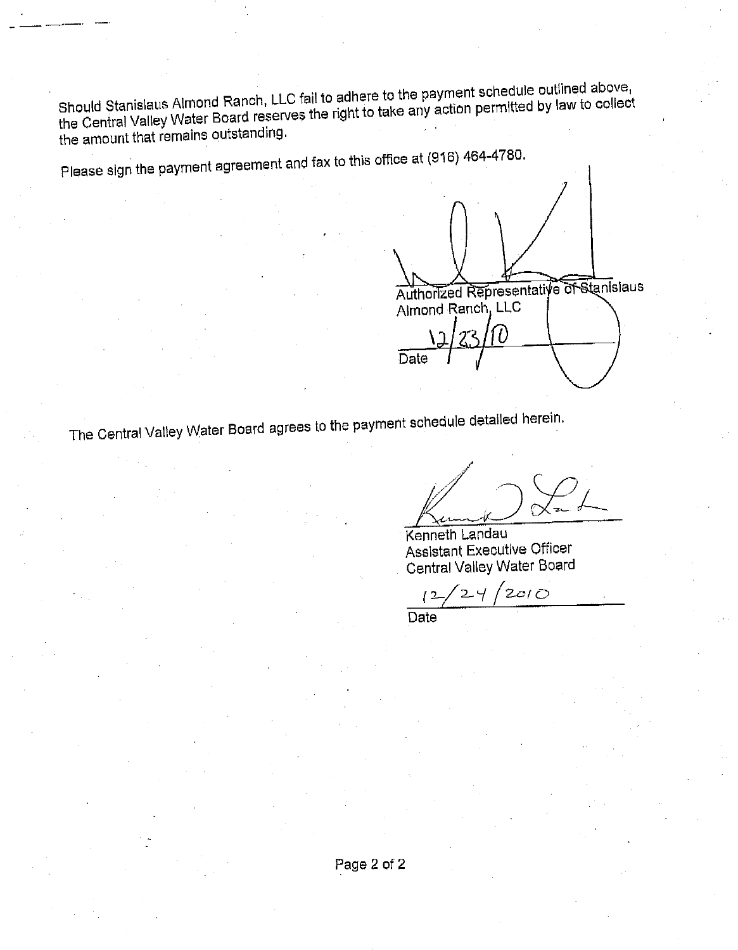Should Stanislaus Almond Ranch, LLC fail to adhere to the payment schedule outlined above, the Central Valley Water Board reserves the right to take any action permitted by law to collect the amount that remains outstanding.

Please sign the payment agreement and fax to this office at (916) 464-4780.

Authorized Representative of Stanislaus Almond Ranch, LLC Date

The Central Valley Water Board agrees to the payment schedule detailed herein.

Kenneth Landau Assistant Executive Officer Central Valley Water Board

 $2c/D$  $\sqrt{2}$ 

Date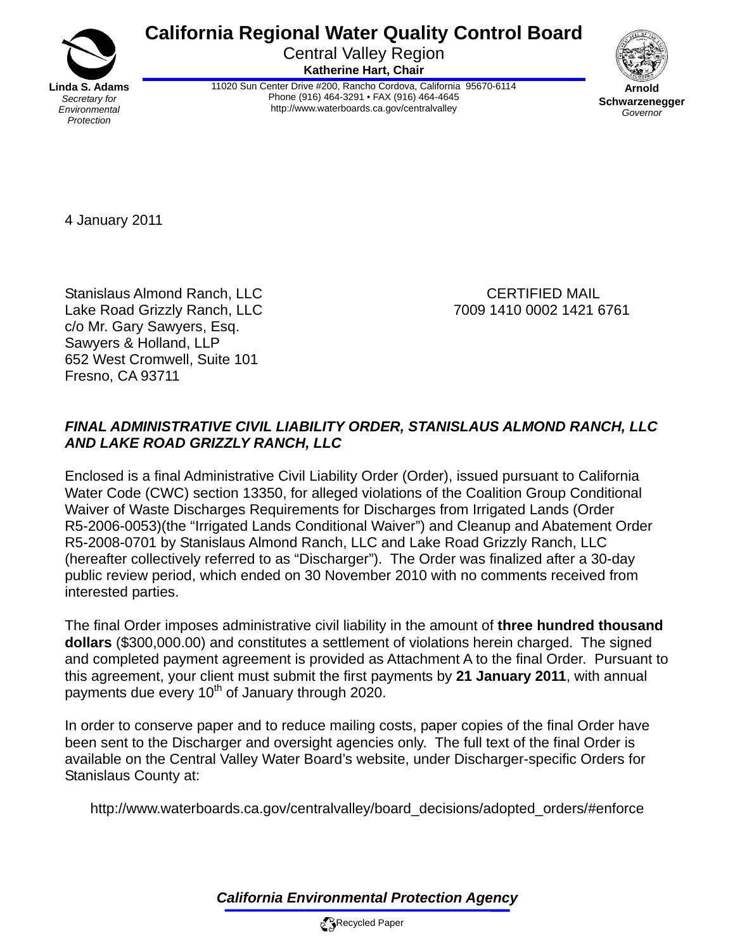**California Regional Water Quality Control Board** 

Central Valley Region **Katherine Hart, Chair** 



11020 Sun Center Drive #200, Rancho Cordova, California 95670-6114 Phone (916) 464-3291 • FAX (916) 464-4645 http://www.waterboards.ca.gov/centralvalley



**Schwarzenegger** *Governor* 

4 January 2011

Stanislaus Almond Ranch, LLC CERTIFIED MAIL Lake Road Grizzly Ranch, LLC 7009 1410 0002 1421 6761 c/o Mr. Gary Sawyers, Esq. Sawyers & Holland, LLP 652 West Cromwell, Suite 101 Fresno, CA 93711

# *FINAL ADMINISTRATIVE CIVIL LIABILITY ORDER, STANISLAUS ALMOND RANCH, LLC AND LAKE ROAD GRIZZLY RANCH, LLC*

Enclosed is a final Administrative Civil Liability Order (Order), issued pursuant to California Water Code (CWC) section 13350, for alleged violations of the Coalition Group Conditional Waiver of Waste Discharges Requirements for Discharges from Irrigated Lands (Order R5-2006-0053)(the "Irrigated Lands Conditional Waiver") and Cleanup and Abatement Order R5-2008-0701 by Stanislaus Almond Ranch, LLC and Lake Road Grizzly Ranch, LLC (hereafter collectively referred to as "Discharger"). The Order was finalized after a 30-day public review period, which ended on 30 November 2010 with no comments received from interested parties.

The final Order imposes administrative civil liability in the amount of **three hundred thousand dollars** (\$300,000.00) and constitutes a settlement of violations herein charged. The signed and completed payment agreement is provided as Attachment A to the final Order. Pursuant to this agreement, your client must submit the first payments by **21 January 2011**, with annual payments due every 10<sup>th</sup> of January through 2020.

In order to conserve paper and to reduce mailing costs, paper copies of the final Order have been sent to the Discharger and oversight agencies only. The full text of the final Order is available on the Central Valley Water Board's website, under Discharger-specific Orders for Stanislaus County at:

http://www.waterboards.ca.gov/centralvalley/board\_decisions/adopted\_orders/#enforce

*California Environmental Protection Agency*